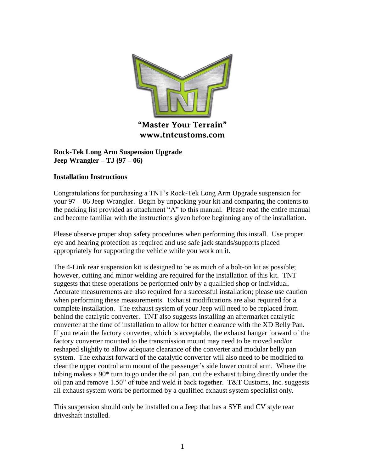

**Rock-Tek Long Arm Suspension Upgrade Jeep Wrangler – TJ (97 – 06)**

### **Installation Instructions**

Congratulations for purchasing a TNT's Rock-Tek Long Arm Upgrade suspension for your 97 – 06 Jeep Wrangler. Begin by unpacking your kit and comparing the contents to the packing list provided as attachment "A" to this manual. Please read the entire manual and become familiar with the instructions given before beginning any of the installation.

Please observe proper shop safety procedures when performing this install. Use proper eye and hearing protection as required and use safe jack stands/supports placed appropriately for supporting the vehicle while you work on it.

The 4-Link rear suspension kit is designed to be as much of a bolt-on kit as possible; however, cutting and minor welding are required for the installation of this kit. TNT suggests that these operations be performed only by a qualified shop or individual. Accurate measurements are also required for a successful installation; please use caution when performing these measurements. Exhaust modifications are also required for a complete installation. The exhaust system of your Jeep will need to be replaced from behind the catalytic converter. TNT also suggests installing an aftermarket catalytic converter at the time of installation to allow for better clearance with the XD Belly Pan. If you retain the factory converter, which is acceptable, the exhaust hanger forward of the factory converter mounted to the transmission mount may need to be moved and/or reshaped slightly to allow adequate clearance of the converter and modular belly pan system. The exhaust forward of the catalytic converter will also need to be modified to clear the upper control arm mount of the passenger's side lower control arm. Where the tubing makes a 90\* turn to go under the oil pan, cut the exhaust tubing directly under the oil pan and remove 1.50" of tube and weld it back together. T&T Customs, Inc. suggests all exhaust system work be performed by a qualified exhaust system specialist only.

This suspension should only be installed on a Jeep that has a SYE and CV style rear driveshaft installed.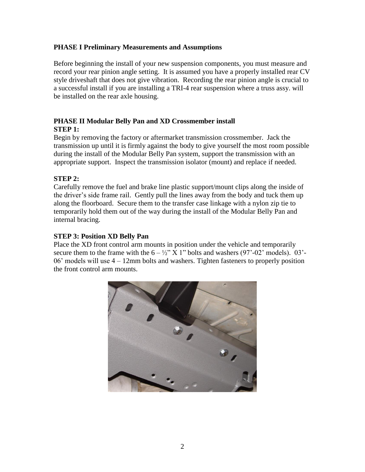### **PHASE I Preliminary Measurements and Assumptions**

Before beginning the install of your new suspension components, you must measure and record your rear pinion angle setting. It is assumed you have a properly installed rear CV style driveshaft that does not give vibration. Recording the rear pinion angle is crucial to a successful install if you are installing a TRI-4 rear suspension where a truss assy. will be installed on the rear axle housing.

## **PHASE II Modular Belly Pan and XD Crossmember install STEP 1:**

Begin by removing the factory or aftermarket transmission crossmember. Jack the transmission up until it is firmly against the body to give yourself the most room possible during the install of the Modular Belly Pan system, support the transmission with an appropriate support. Inspect the transmission isolator (mount) and replace if needed.

## **STEP 2:**

Carefully remove the fuel and brake line plastic support/mount clips along the inside of the driver's side frame rail. Gently pull the lines away from the body and tuck them up along the floorboard. Secure them to the transfer case linkage with a nylon zip tie to temporarily hold them out of the way during the install of the Modular Belly Pan and internal bracing.

### **STEP 3: Position XD Belly Pan**

Place the XD front control arm mounts in position under the vehicle and temporarily secure them to the frame with the  $6 - \frac{1}{2}$ " X 1" bolts and washers (97'-02' models). 03'-06' models will use 4 – 12mm bolts and washers. Tighten fasteners to properly position the front control arm mounts.

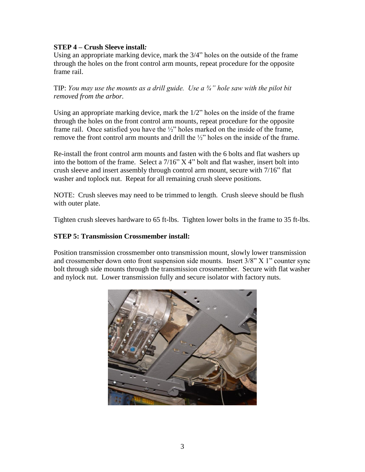### **STEP 4 – Crush Sleeve install***:*

Using an appropriate marking device, mark the 3/4" holes on the outside of the frame through the holes on the front control arm mounts, repeat procedure for the opposite frame rail.

TIP: *You may use the mounts as a drill guide. Use a ¾" hole saw with the pilot bit removed from the arbor.*

Using an appropriate marking device, mark the 1/2" holes on the inside of the frame through the holes on the front control arm mounts, repeat procedure for the opposite frame rail. Once satisfied you have the ½" holes marked on the inside of the frame, remove the front control arm mounts and drill the ½" holes on the inside of the frame.

Re-install the front control arm mounts and fasten with the 6 bolts and flat washers up into the bottom of the frame. Select a 7/16" X 4" bolt and flat washer, insert bolt into crush sleeve and insert assembly through control arm mount, secure with 7/16" flat washer and toplock nut. Repeat for all remaining crush sleeve positions.

NOTE: Crush sleeves may need to be trimmed to length. Crush sleeve should be flush with outer plate.

Tighten crush sleeves hardware to 65 ft-lbs. Tighten lower bolts in the frame to 35 ft-lbs.

### **STEP 5: Transmission Crossmember install:**

Position transmission crossmember onto transmission mount, slowly lower transmission and crossmember down onto front suspension side mounts. Insert 3/8" X 1" counter sync bolt through side mounts through the transmission crossmember. Secure with flat washer and nylock nut. Lower transmission fully and secure isolator with factory nuts.

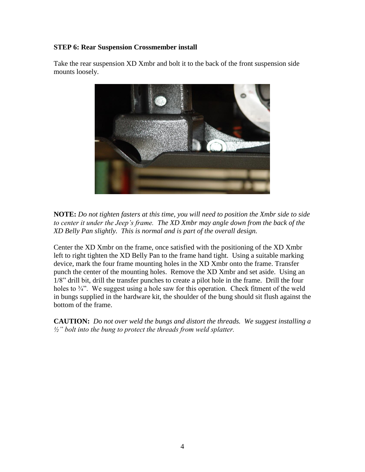### **STEP 6: Rear Suspension Crossmember install**

Take the rear suspension XD Xmbr and bolt it to the back of the front suspension side mounts loosely.



**NOTE:** *Do not tighten fasters at this time, you will need to position the Xmbr side to side to center it under the Jeep's frame. The XD Xmbr may angle down from the back of the XD Belly Pan slightly. This is normal and is part of the overall design.*

Center the XD Xmbr on the frame, once satisfied with the positioning of the XD Xmbr left to right tighten the XD Belly Pan to the frame hand tight. Using a suitable marking device, mark the four frame mounting holes in the XD Xmbr onto the frame. Transfer punch the center of the mounting holes. Remove the XD Xmbr and set aside. Using an 1/8" drill bit, drill the transfer punches to create a pilot hole in the frame. Drill the four holes to  $\frac{3}{4}$ . We suggest using a hole saw for this operation. Check fitment of the weld in bungs supplied in the hardware kit, the shoulder of the bung should sit flush against the bottom of the frame.

**CAUTION:** *Do not over weld the bungs and distort the threads. We suggest installing a ½" bolt into the bung to protect the threads from weld splatter.*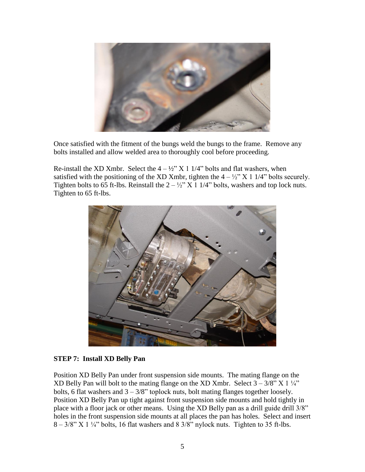

Once satisfied with the fitment of the bungs weld the bungs to the frame. Remove any bolts installed and allow welded area to thoroughly cool before proceeding.

Re-install the XD Xmbr. Select the  $4 - \frac{1}{2}$  X 1 1/4" bolts and flat washers, when satisfied with the positioning of the XD Xmbr, tighten the  $4 - \frac{1}{2}$ " X 1 1/4" bolts securely. Tighten bolts to 65 ft-lbs. Reinstall the  $2 - \frac{1}{2}$  X 1 1/4" bolts, washers and top lock nuts. Tighten to 65 ft-lbs.



#### **STEP 7: Install XD Belly Pan**

Position XD Belly Pan under front suspension side mounts. The mating flange on the XD Belly Pan will bolt to the mating flange on the XD Xmbr. Select  $3 - 3/8$ " X  $1\frac{1}{4}$ " bolts, 6 flat washers and  $3 - 3/8$ " toplock nuts, bolt mating flanges together loosely. Position XD Belly Pan up tight against front suspension side mounts and hold tightly in place with a floor jack or other means. Using the XD Belly pan as a drill guide drill 3/8" holes in the front suspension side mounts at all places the pan has holes. Select and insert  $8 - 3/8$ " X 1  $\frac{1}{4}$ " bolts, 16 flat washers and 8 3/8" nylock nuts. Tighten to 35 ft-lbs.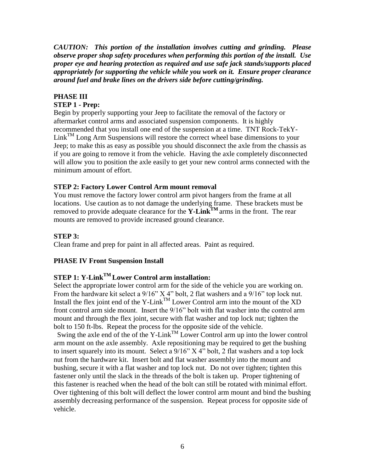*CAUTION: This portion of the installation involves cutting and grinding. Please observe proper shop safety procedures when performing this portion of the install. Use proper eye and hearing protection as required and use safe jack stands/supports placed appropriately for supporting the vehicle while you work on it. Ensure proper clearance around fuel and brake lines on the drivers side before cutting/grinding.* 

## **PHASE III**

## **STEP 1 - Prep:**

Begin by properly supporting your Jeep to facilitate the removal of the factory or aftermarket control arms and associated suspension components. It is highly recommended that you install one end of the suspension at a time. TNT Rock-TekY- $\text{Link}^{\text{TM}}$  Long Arm Suspensions will restore the correct wheel base dimensions to your Jeep; to make this as easy as possible you should disconnect the axle from the chassis as if you are going to remove it from the vehicle. Having the axle completely disconnected will allow you to position the axle easily to get your new control arms connected with the minimum amount of effort.

### **STEP 2: Factory Lower Control Arm mount removal**

You must remove the factory lower control arm pivot hangers from the frame at all locations. Use caution as to not damage the underlying frame. These brackets must be removed to provide adequate clearance for the **Y-LinkTM** arms in the front. The rear mounts are removed to provide increased ground clearance.

### **STEP 3:**

Clean frame and prep for paint in all affected areas. Paint as required.

## **PHASE IV Front Suspension Install**

## **STEP 1: Y-LinkTM Lower Control arm installation:**

Select the appropriate lower control arm for the side of the vehicle you are working on. From the hardware kit select a 9/16" X 4" bolt, 2 flat washers and a 9/16" top lock nut. Install the flex joint end of the Y-Link<sup>TM</sup> Lower Control arm into the mount of the XD front control arm side mount. Insert the 9/16" bolt with flat washer into the control arm mount and through the flex joint, secure with flat washer and top lock nut; tighten the bolt to 150 ft-lbs. Repeat the process for the opposite side of the vehicle.

Swing the axle end of the of the Y-Link<sup>TM</sup> Lower Control arm up into the lower control arm mount on the axle assembly. Axle repositioning may be required to get the bushing to insert squarely into its mount. Select a  $9/16$ " X 4" bolt, 2 flat washers and a top lock nut from the hardware kit. Insert bolt and flat washer assembly into the mount and bushing, secure it with a flat washer and top lock nut. Do not over tighten; tighten this fastener only until the slack in the threads of the bolt is taken up. Proper tightening of this fastener is reached when the head of the bolt can still be rotated with minimal effort. Over tightening of this bolt will deflect the lower control arm mount and bind the bushing assembly decreasing performance of the suspension. Repeat process for opposite side of vehicle.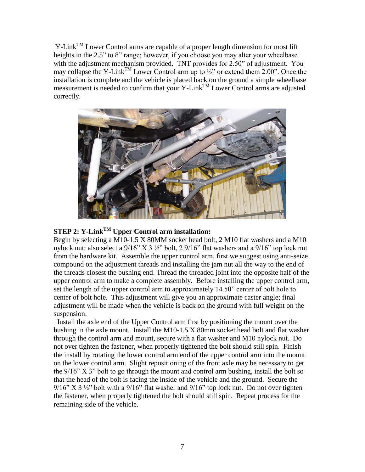$Y\text{-Link}^{\text{TM}}$  Lower Control arms are capable of a proper length dimension for most lift heights in the 2.5" to 8" range; however, if you choose you may alter your wheelbase with the adjustment mechanism provided. TNT provides for 2.50" of adjustment. You may collapse the Y-Link<sup>TM</sup> Lower Control arm up to  $\frac{1}{2}$  or extend them 2.00". Once the installation is complete and the vehicle is placed back on the ground a simple wheelbase measurement is needed to confirm that your Y-Link<sup>TM</sup> Lower Control arms are adjusted correctly.



# **STEP 2: Y-LinkTM Upper Control arm installation:**

Begin by selecting a M10-1.5 X 80MM socket head bolt, 2 M10 flat washers and a M10 nylock nut; also select a 9/16" X 3 ½" bolt, 2 9/16" flat washers and a 9/16" top lock nut from the hardware kit. Assemble the upper control arm, first we suggest using anti-seize compound on the adjustment threads and installing the jam nut all the way to the end of the threads closest the bushing end. Thread the threaded joint into the opposite half of the upper control arm to make a complete assembly. Before installing the upper control arm, set the length of the upper control arm to approximately 14.50" center of bolt hole to center of bolt hole. This adjustment will give you an approximate caster angle; final adjustment will be made when the vehicle is back on the ground with full weight on the suspension.

 Install the axle end of the Upper Control arm first by positioning the mount over the bushing in the axle mount. Install the M10-1.5 X 80mm socket head bolt and flat washer through the control arm and mount, secure with a flat washer and M10 nylock nut. Do not over tighten the fastener, when properly tightened the bolt should still spin. Finish the install by rotating the lower control arm end of the upper control arm into the mount on the lower control arm. Slight repositioning of the front axle may be necessary to get the 9/16" X 3" bolt to go through the mount and control arm bushing, install the bolt so that the head of the bolt is facing the inside of the vehicle and the ground. Secure the  $9/16$ " X 3  $\frac{1}{2}$ " bolt with a  $9/16$ " flat washer and  $9/16$ " top lock nut. Do not over tighten the fastener, when properly tightened the bolt should still spin. Repeat process for the remaining side of the vehicle.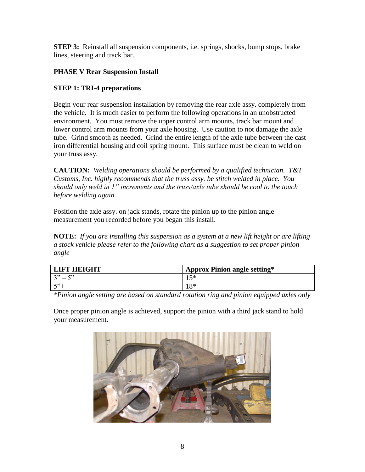**STEP 3:** Reinstall all suspension components, i.e. springs, shocks, bump stops, brake lines, steering and track bar.

# **PHASE V Rear Suspension Install**

# **STEP 1: TRI-4 preparations**

Begin your rear suspension installation by removing the rear axle assy. completely from the vehicle. It is much easier to perform the following operations in an unobstructed environment. You must remove the upper control arm mounts, track bar mount and lower control arm mounts from your axle housing. Use caution to not damage the axle tube. Grind smooth as needed. Grind the entire length of the axle tube between the cast iron differential housing and coil spring mount. This surface must be clean to weld on your truss assy.

**CAUTION***: Welding operations should be performed by a qualified technician. T&T Customs, Inc. highly recommends that the truss assy. be stitch welded in place. You should only weld in 1" increments and the truss/axle tube should be cool to the touch before welding again.*

Position the axle assy. on jack stands, rotate the pinion up to the pinion angle measurement you recorded before you began this install.

**NOTE:** *If you are installing this suspension as a system at a new lift height or are lifting a stock vehicle please refer to the following chart as a suggestion to set proper pinion angle*

| <b>LIFT HEIGHT</b> | <b>Approx Pinion angle setting*</b> |
|--------------------|-------------------------------------|
| $3" - 5"$          | 15*                                 |
| $\sqrt{2}$         | 1 О∗                                |

*\*Pinion angle setting are based on standard rotation ring and pinion equipped axles only*

Once proper pinion angle is achieved, support the pinion with a third jack stand to hold your measurement.

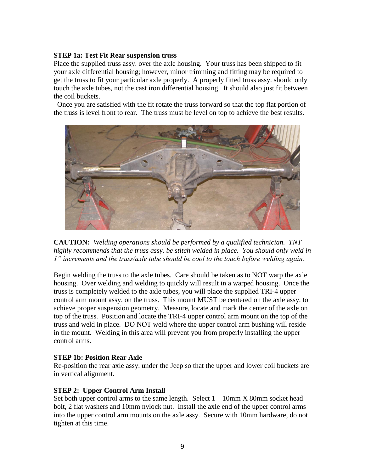#### **STEP 1a: Test Fit Rear suspension truss**

Place the supplied truss assy. over the axle housing. Your truss has been shipped to fit your axle differential housing; however, minor trimming and fitting may be required to get the truss to fit your particular axle properly. A properly fitted truss assy. should only touch the axle tubes, not the cast iron differential housing. It should also just fit between the coil buckets.

 Once you are satisfied with the fit rotate the truss forward so that the top flat portion of the truss is level front to rear. The truss must be level on top to achieve the best results.



**CAUTION***: Welding operations should be performed by a qualified technician. TNT highly recommends that the truss assy. be stitch welded in place. You should only weld in 1" increments and the truss/axle tube should be cool to the touch before welding again.*

Begin welding the truss to the axle tubes. Care should be taken as to NOT warp the axle housing. Over welding and welding to quickly will result in a warped housing. Once the truss is completely welded to the axle tubes, you will place the supplied TRI-4 upper control arm mount assy. on the truss. This mount MUST be centered on the axle assy. to achieve proper suspension geometry. Measure, locate and mark the center of the axle on top of the truss. Position and locate the TRI-4 upper control arm mount on the top of the truss and weld in place. DO NOT weld where the upper control arm bushing will reside in the mount. Welding in this area will prevent you from properly installing the upper control arms.

#### **STEP 1b: Position Rear Axle**

Re-position the rear axle assy. under the Jeep so that the upper and lower coil buckets are in vertical alignment.

## **STEP 2: Upper Control Arm Install**

Set both upper control arms to the same length. Select  $1 - 10$ mm X 80mm socket head bolt, 2 flat washers and 10mm nylock nut. Install the axle end of the upper control arms into the upper control arm mounts on the axle assy. Secure with 10mm hardware, do not tighten at this time.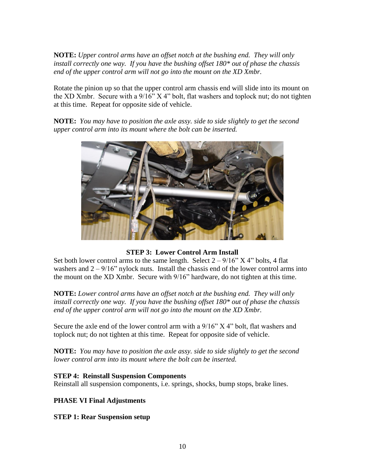**NOTE:** *Upper control arms have an offset notch at the bushing end. They will only install correctly one way. If you have the bushing offset 180\* out of phase the chassis end of the upper control arm will not go into the mount on the XD Xmbr.*

Rotate the pinion up so that the upper control arm chassis end will slide into its mount on the XD Xmbr. Secure with a 9/16" X 4" bolt, flat washers and toplock nut; do not tighten at this time. Repeat for opposite side of vehicle.

**NOTE:** *You may have to position the axle assy. side to side slightly to get the second upper control arm into its mount where the bolt can be inserted.*



**STEP 3: Lower Control Arm Install**

Set both lower control arms to the same length. Select  $2 - 9/16$ " X 4" bolts, 4 flat washers and  $2 - 9/16$ " nylock nuts. Install the chassis end of the lower control arms into the mount on the XD Xmbr. Secure with 9/16" hardware, do not tighten at this time.

**NOTE:** *Lower control arms have an offset notch at the bushing end. They will only install correctly one way. If you have the bushing offset 180\* out of phase the chassis end of the upper control arm will not go into the mount on the XD Xmbr.*

Secure the axle end of the lower control arm with a  $9/16$ " X 4" bolt, flat washers and toplock nut; do not tighten at this time. Repeat for opposite side of vehicle.

**NOTE:** *You may have to position the axle assy. side to side slightly to get the second lower control arm into its mount where the bolt can be inserted.*

## **STEP 4: Reinstall Suspension Components**

Reinstall all suspension components, i.e. springs, shocks, bump stops, brake lines.

## **PHASE VI Final Adjustments**

**STEP 1: Rear Suspension setup**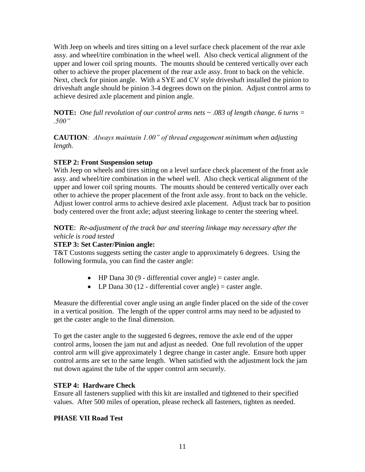With Jeep on wheels and tires sitting on a level surface check placement of the rear axle assy. and wheel/tire combination in the wheel well. Also check vertical alignment of the upper and lower coil spring mounts. The mounts should be centered vertically over each other to achieve the proper placement of the rear axle assy. front to back on the vehicle. Next, check for pinion angle. With a SYE and CV style driveshaft installed the pinion to driveshaft angle should be pinion 3-4 degrees down on the pinion. Adjust control arms to achieve desired axle placement and pinion angle.

**NOTE:** *One full revolution of our control arms nets ~ .083 of length change. 6 turns = .500"*

**CAUTION***: Always maintain 1.00" of thread engagement minimum when adjusting length.*

## **STEP 2: Front Suspension setup**

With Jeep on wheels and tires sitting on a level surface check placement of the front axle assy. and wheel/tire combination in the wheel well. Also check vertical alignment of the upper and lower coil spring mounts. The mounts should be centered vertically over each other to achieve the proper placement of the front axle assy. front to back on the vehicle. Adjust lower control arms to achieve desired axle placement. Adjust track bar to position body centered over the front axle; adjust steering linkage to center the steering wheel.

### **NOTE**: *Re-adjustment of the track bar and steering linkage may necessary after the vehicle is road tested*

## **STEP 3: Set Caster/Pinion angle:**

T&T Customs suggests setting the caster angle to approximately 6 degrees. Using the following formula, you can find the caster angle:

- $\bullet$  HP Dana 30 (9 differential cover angle) = caster angle.
- LP Dana 30 (12 differential cover angle) = caster angle.

Measure the differential cover angle using an angle finder placed on the side of the cover in a vertical position. The length of the upper control arms may need to be adjusted to get the caster angle to the final dimension.

To get the caster angle to the suggested 6 degrees, remove the axle end of the upper control arms, loosen the jam nut and adjust as needed. One full revolution of the upper control arm will give approximately 1 degree change in caster angle. Ensure both upper control arms are set to the same length. When satisfied with the adjustment lock the jam nut down against the tube of the upper control arm securely.

## **STEP 4: Hardware Check**

Ensure all fasteners supplied with this kit are installed and tightened to their specified values. After 500 miles of operation, please recheck all fasteners, tighten as needed.

## **PHASE VII Road Test**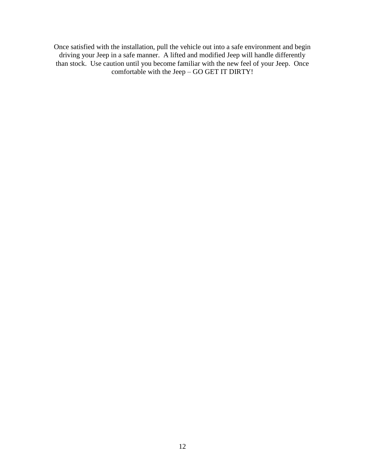Once satisfied with the installation, pull the vehicle out into a safe environment and begin driving your Jeep in a safe manner. A lifted and modified Jeep will handle differently than stock. Use caution until you become familiar with the new feel of your Jeep. Once comfortable with the Jeep – GO GET IT DIRTY!